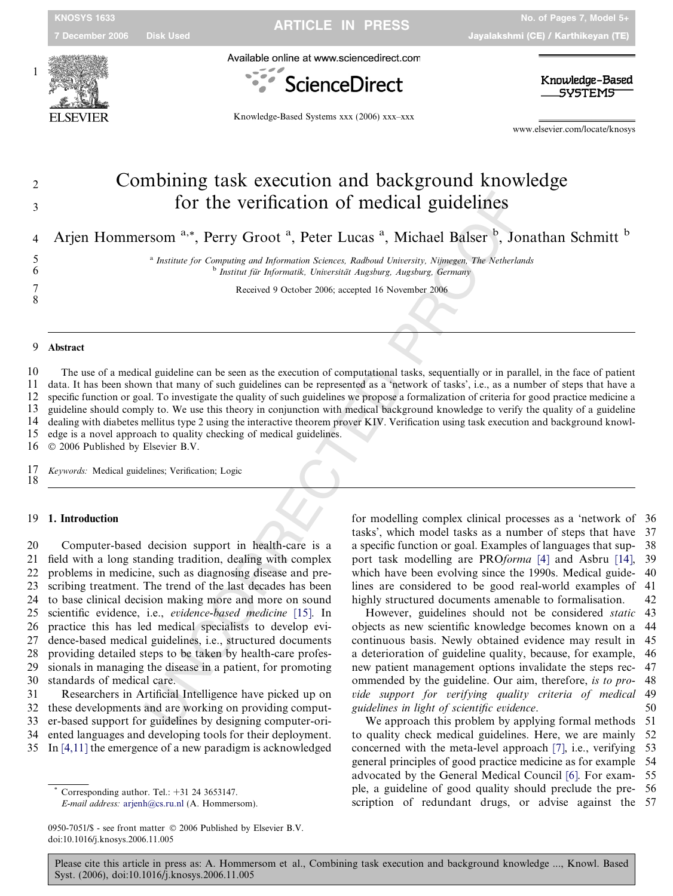ARTICLE IN PRESS



Available online at www.sciencedirect.com



Knowledge-Based Systems xxx (2006) xxx–xxx

www.elsevier.com/locate/knosys

# 12 Combining task execution and background knowledge <sup>3</sup> for the verification of medical guidelines

4 Arjen Hommersom <sup>a,\*</sup>, Perry Groot <sup>a</sup>, Peter Lucas <sup>a</sup>, Michael Balser <sup>b</sup>, Jonathan Schmitt <sup>b</sup>

<sup>a</sup> Institute for Computing and Information Sciences, Radboud University, Nijmegen, The Netherlands <sup>b</sup> Institut für Informatik, Universität Augsburg, Augsburg, Germany

7 Received 9 October 2006; accepted 16 November 2006<br>8<br>9 Abstract

5

6

 The use of a medical guideline can be seen as the execution of computational tasks, sequentially or in parallel, in the face of patient data. It has been shown that many of such guidelines can be represented as a 'network of tasks', i.e., as a number of steps that have a specific function or goal. To investigate the quality of such guidelines we propose a formalization of criteria for good practice medicine a guideline should comply to. We use this theory in conjunction with medical background knowledge to verify the quality of a guideline dealing with diabetes mellitus type 2 using the interactive theorem prover KIV. Verification using task execution and background knowl-edge is a novel approach to quality checking of medical guidelines.

16 © 2006 Published by Elsevier B.V.

17 Keywords: Medical guidelines; Verification; Logic 18

#### 19 1. Introduction

for the verification of medical guidelines<br>
rsom <sup>a,\*</sup>, Perry Groot<sup>-a</sup>, Peter Lucas<sup>-a</sup>, Michael Balser<sup>b</sup>, Jo<br>
<sup>2</sup> *Institute for Computing and Information Sciences, Radboat University, Nijnagen, The Neberlation <sup>b</sup> <i>In* 20 Computer-based decision support in health-care is a 21 field with a long standing tradition, dealing with complex 22 problems in medicine, such as diagnosing disease and pre-23 scribing treatment. The trend of the last decades has been 24 to base clinical decision making more and more on sound 25 scientific evidence, i.e., evidence-based medicine [15]. In 26 practice this has led medical specialists to develop evi-27 dence-based medical guidelines, i.e., structured documents 28 providing detailed steps to be taken by health-care profes-29 sionals in managing the disease in a patient, for promoting 30 standards of medical care.

31 Researchers in Artificial Intelligence have picked up on 32 these developments and are working on providing comput-33 er-based support for guidelines by designing computer-ori-34 ented languages and developing tools for their deployment. 35 In [\[4,11\]](#page-6-0) the emergence of a new paradigm is acknowledged

E-mail address: [arjenh@cs.ru.nl](mailto:arjenh@cs.ru.nl) (A. Hommersom).

0950-7051/\$ - see front matter © 2006 Published by Elsevier B.V. \* Corresponding author. Tel.: +31 24 3653147.<br> *E-mail address:* arjenh@cs.ru.nl (A. Hommer.<br>
0950-7051/\$ - see front matter © 2006 Published<br>
doi:10.1016/j.knosys.2006.11.005

for modelling complex clinical processes as a 'network of 36 tasks', which model tasks as a number of steps that have 37 a specific function or goal. Examples of languages that sup- 38 port task modelling are PROforma [\[4\]](#page-6-0) and Asbru [\[14\]](#page-6-0), , 39 which have been evolving since the 1990s. Medical guide- 40 lines are considered to be good real-world examples of 41 highly structured documents amenable to formalisation. 42

However, guidelines should not be considered static 43 objects as new scientific knowledge becomes known on a 44 continuous basis. Newly obtained evidence may result in 45 a deterioration of guideline quality, because, for example, 46 new patient management options invalidate the steps rec- 47 ommended by the guideline. Our aim, therefore, is to pro- 48 vide support for verifying quality criteria of medical 49 guidelines in light of scientific evidence  $\sim$  50

We approach this problem by applying formal methods 51 to quality check medical guidelines. Here, we are mainly 52 concerned with the meta-level approach [\[7\],](#page-6-0) i.e., verifying 53 general principles of good practice medicine as for example 54 advocated by the General Medical Council [\[6\]](#page-6-0). For exam- 55 ple, a guideline of good quality should preclude the pre- 56 scription of redundant drugs, or advise against the 57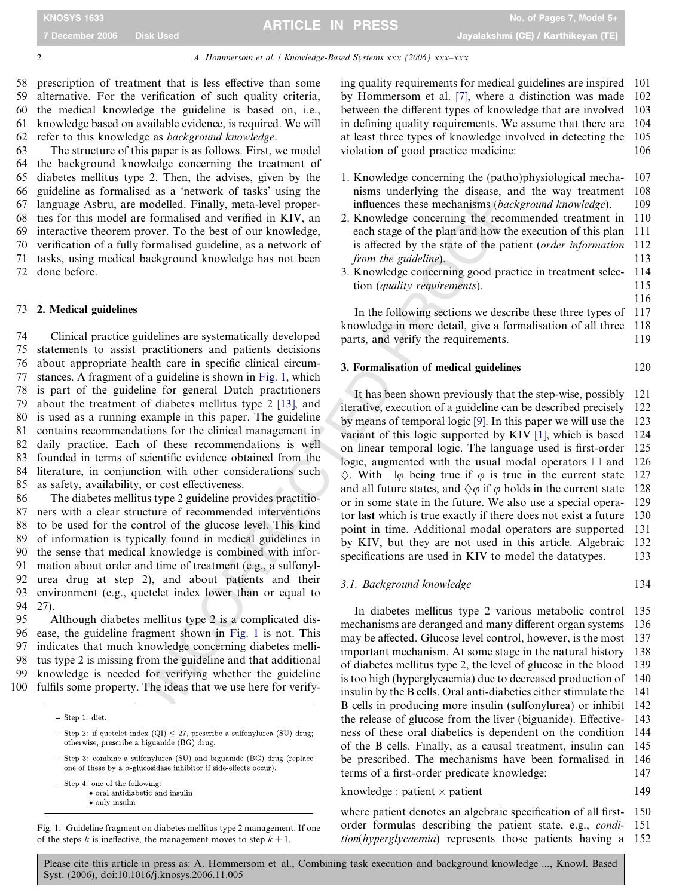<span id="page-1-0"></span>58 prescription of treatment that is less effective than some 59 alternative. For the verification of such quality criteria, 60 the medical knowledge the guideline is based on, i.e., 61 knowledge based on available evidence, is required. We will 62 refer to this knowledge as background knowledge.

63 The structure of this paper is as follows. First, we model 64 the background knowledge concerning the treatment of 65 diabetes mellitus type 2. Then, the advises, given by the 66 guideline as formalised as a 'network of tasks' using the 67 language Asbru, are modelled. Finally, meta-level proper-68 ties for this model are formalised and verified in KIV, an 69 interactive theorem prover. To the best of our knowledge, 70 verification of a fully formalised guideline, as a network of 71 tasks, using medical background knowledge has not been 72 done before.

# 73 2. Medical guidelines

74 Clinical practice guidelines are systematically developed 75 statements to assist practitioners and patients decisions 76 about appropriate health care in specific clinical circum-77 stances. A fragment of a guideline is shown in Fig. 1, which 78 is part of the guideline for general Dutch practitioners 79 about the treatment of diabetes mellitus type 2 [13], and 80 is used as a running example in this paper. The guideline 81 contains recommendations for the clinical management in 82 daily practice. Each of these recommendations is well 83 founded in terms of scientific evidence obtained from the 84 literature, in conjunction with other considerations such 85 as safety, availability, or cost effectiveness.

86 The diabetes mellitus type 2 guideline provides practitio-87 ners with a clear structure of recommended interventions 88 to be used for the control of the glucose level. This kind 89 of information is typically found in medical guidelines in 90 the sense that medical knowledge is combined with infor-91 mation about order and time of treatment (e.g., a sulfonyl-92 urea drug at step 2), and about patients and their 93 environment (e.g., quetelet index lower than or equal to 94 27).

95 Although diabetes mellitus type 2 is a complicated dis-96 ease, the guideline fragment shown in Fig. 1 is not. This 97 indicates that much knowledge concerning diabetes melli-98 tus type 2 is missing from the guideline and that additional 99 knowledge is needed for verifying whether the guideline 100 fulfils some property. The ideas that we use here for verify-

- Step 3: combine a sulfonylurea (SU) and biguanide (BG) drug (replace one of these by a  $\alpha$ -glucosidase inhibitor if side-effects occur).

 $-$  Step 4: one of the following:  $\bullet$  oral antidiabetic and insulin

 $\bullet$  only insulin

Fig. 1. Guideline fragment on diabetes mellitus type 2 management. If one of the steps k is ineffective, the management moves to step  $k + 1$ .

ing quality requirements for medical guidelines are inspired 101 by Hommersom et al. [\[7\],](#page-6-0) where a distinction was made 102 between the different types of knowledge that are involved 103 in defining quality requirements. We assume that there are 104 at least three types of knowledge involved in detecting the 105 violation of good practice medicine: 106

- 1. Knowledge concerning the (patho)physiological mecha- 107 nisms underlying the disease, and the way treatment 108 influences these mechanisms (background knowledge). 109
- 2. Knowledge concerning the recommended treatment in 110 each stage of the plan and how the execution of this plan 111 is affected by the state of the patient (order information 112 from the guideline). 113
- 3. Knowledge concerning good practice in treatment selec- 114 tion (quality requirements). 115

In the following sections we describe these three types of 117 knowledge in more detail, give a formalisation of all three 118 parts, and verify the requirements. 119

# 3. Formalisation of medical guidelines 120

Set as the<br>work of tasks using the differential and verifing the different formalisation<br>delet. Finally, meta-level proper-<br>influences these mechanisms (*bac*<br>prover. To the best of our knowledge, can be stage of the plan It has been shown previously that the step-wise, possibly 121 iterative, execution of a guideline can be described precisely 122 by means of temporal logic [\[9\].](#page-6-0) In this paper we will use the 123 variant of this logic supported by KIV [\[1\],](#page-6-0) which is based 124 on linear temporal logic. The language used is first-order 125 logic, augmented with the usual modal operators  $\Box$  and 126  $\Diamond$ . With  $\Box \varphi$  being true if  $\varphi$  is true in the current state 127 and all future states, and  $\Diamond \varphi$  if  $\varphi$  holds in the current state 128 or in some state in the future. We also use a special opera- 129 tor last which is true exactly if there does not exist a future 130 point in time. Additional modal operators are supported 131 by KIV, but they are not used in this article. Algebraic 132 specifications are used in KIV to model the datatypes. 133

# 3.1. Background knowledge 134

In diabetes mellitus type 2 various metabolic control 135 mechanisms are deranged and many different organ systems 136 may be affected. Glucose level control, however, is the most 137 important mechanism. At some stage in the natural history 138 of diabetes mellitus type 2, the level of glucose in the blood 139 is too high (hyperglycaemia) due to decreased production of 140 insulin by the B cells. Oral anti-diabetics either stimulate the 141 B cells in producing more insulin (sulfonylurea) or inhibit 142 the release of glucose from the liver (biguanide). Effective- 143 ness of these oral diabetics is dependent on the condition 144 of the B cells. Finally, as a causal treatment, insulin can 145 be prescribed. The mechanisms have been formalised in 146 terms of a first-order predicate knowledge: 147

# $k$ nowledge : patient  $\times$  patient  $149$

116

where patient denotes an algebraic specification of all first- 150 order formulas describing the patient state, e.g., condi- 151 tion(hyperglycaemia) represents those patients having a 152

 $-$  Step 1: diet.

otherwise, prescribe a biguanide (BG) drug.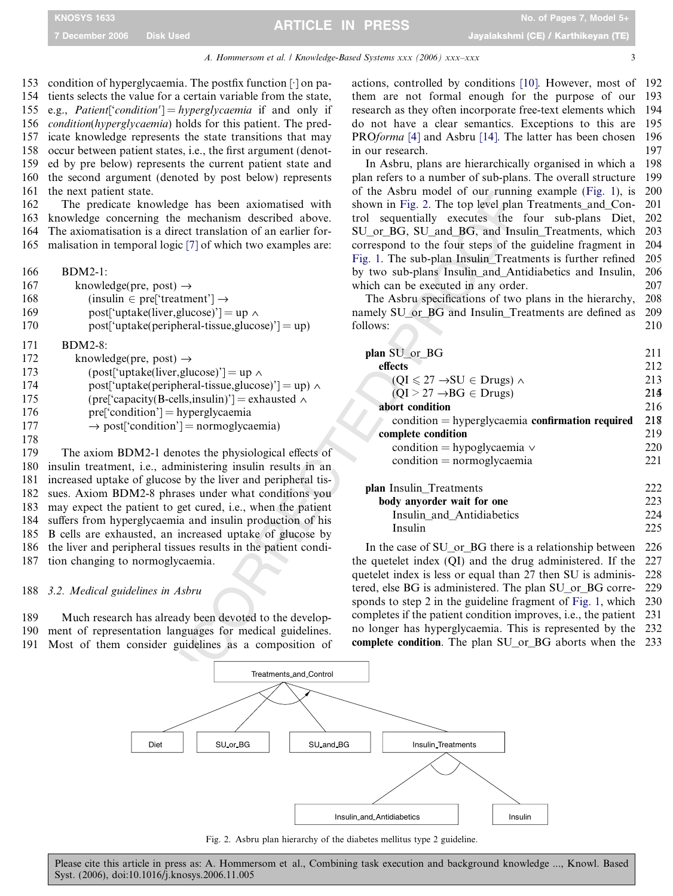<span id="page-2-0"></span>

ARTICLE IN PRESS

153 condition of hyperglycaemia. The postfix function [·] on pa-154 tients selects the value for a certain variable from the state, 155 e.g., Patient['condition'] = hyperglycaemia if and only if 156 condition(hyperglycaemia) holds for this patient. The pred-157 icate knowledge represents the state transitions that may 158 occur between patient states, i.e., the first argument (denot-159 ed by pre below) represents the current patient state and 160 the second argument (denoted by post below) represents 161 the next patient state.

| 101 | the next patient state.                                                                    | Of the ASOLU model of our fuming                                             |
|-----|--------------------------------------------------------------------------------------------|------------------------------------------------------------------------------|
| 162 | The predicate knowledge has been axiomatised with                                          | shown in Fig. 2. The top level plan                                          |
| 163 | knowledge concerning the mechanism described above.                                        | trol sequentially executes the                                               |
| 164 | The axiomatisation is a direct translation of an earlier for-                              | SU_or_BG, SU_and_BG, and Insu                                                |
| 165 | malisation in temporal logic [7] of which two examples are:                                | correspond to the four steps of the<br>Fig. 1. The sub-plan Insulin Treat    |
| 166 | <b>BDM2-1:</b>                                                                             | by two sub-plans Insulin_and_Ant                                             |
| 167 | knowledge(pre, post) $\rightarrow$                                                         | which can be executed in any order                                           |
| 168 | (insulin $\in$ pre['treatment'] $\rightarrow$                                              | The Asbru specifications of two                                              |
| 169 | post['uptake(liver, glucose)'] = up $\wedge$                                               | namely SU_or_BG and Insulin_Tro                                              |
| 170 | $post['uptake(peripheral-tissue, glucose)']=up)$                                           | follows:                                                                     |
| 171 | <b>BDM2-8:</b>                                                                             |                                                                              |
| 172 | knowledge(pre, post) $\rightarrow$                                                         | plan SU_or_BG                                                                |
| 173 | $-post['update(liver, glucose)']= up \land$                                                | effects                                                                      |
| 174 | post['uptake(peripheral-tissue, glucose)'] = up) $\wedge$                                  | $(QI \leq 27 \rightarrow SU \in Drugs)$ $\land$                              |
| 175 | $(\text{pre[}'\text{capacity}(B\text{-cells},\text{insulin})') = \text{exhausted } \wedge$ | $(QI > 27 \rightarrow BG \in Drugs)$                                         |
| 176 | $pre[* condition*] = hyperglycaemia$                                                       | abort condition                                                              |
| 177 | $\rightarrow$ post['condition'] = normoglycaemia)                                          | $condition = hyperglycaemi$                                                  |
| 178 |                                                                                            | complete condition                                                           |
| 179 | The axiom BDM2-1 denotes the physiological effects of                                      | $condition = hypoglycaemia$<br>$condition = normoglycaem$                    |
| 180 | insulin treatment, i.e., administering insulin results in an                               |                                                                              |
| 181 | increased uptake of glucose by the liver and peripheral tis-                               | plan Insulin_Treatments                                                      |
| 182 | sues. Axiom BDM2-8 phrases under what conditions you                                       | body anyorder wait for one                                                   |
| 183 | may expect the patient to get cured, i.e., when the patient                                | Insulin_and_Antidiabetics                                                    |
| 184 | suffers from hyperglycaemia and insulin production of his                                  | Insulin                                                                      |
| 185 | B cells are exhausted, an increased uptake of glucose by                                   |                                                                              |
| 186 | the liver and peripheral tissues results in the patient condi-                             | In the case of SU_or_BG there is                                             |
| 187 | tion changing to normoglycaemia.                                                           | the quetelet index (QI) and the dr<br>quetelet index is less or equal than   |
| 188 | 3.2. Medical guidelines in Asbru                                                           | tered, else BG is administered. The<br>sponds to step 2 in the guideline fra |
| 189 | Much research has already been devoted to the develop-                                     | completes if the patient condition in                                        |
| 190 | ment of representation languages for medical guidelines.                                   | no longer has hyperglycaemia. Thi                                            |
| 191 | Most of them consider guidelines as a composition of                                       | complete condition. The plan SU_c                                            |
|     |                                                                                            |                                                                              |
|     | Treatments_and_Control                                                                     |                                                                              |
|     |                                                                                            |                                                                              |
|     |                                                                                            |                                                                              |
|     |                                                                                            |                                                                              |

#### 188 3.2. Medical guidelines in Asbru

actions, controlled by conditions [\[10\].](#page-6-0) However, most of 192 them are not formal enough for the purpose of our 193 research as they often incorporate free-text elements which 194 do not have a clear semantics. Exceptions to this are 195 PROforma [\[4\]](#page-6-0) and Asbru [\[14\].](#page-6-0) The latter has been chosen 196 in our research. 197

In Asbru, plans are hierarchically organised in which a 198 plan refers to a number of sub-plans. The overall structure 199 of the Asbru model of our running example ([Fig. 1](#page-1-0)), is 200 shown in Fig. 2. The top level plan Treatments\_and\_Con- 201 trol sequentially executes the four sub-plans Diet, 202 SU or BG, SU and BG, and Insulin Treatments, which 203 correspond to the four steps of the guideline fragment in 204 [Fig. 1](#page-1-0). The sub-plan Insulin\_Treatments is further refined 205 by two sub-plans Insulin\_and\_Antidiabetics and Insulin, 206 which can be executed in any order. 207

The Asbru specifications of two plans in the hierarchy, 208 namely SU or BG and Insulin Treatments are defined as 209 follows: 210

| plan SU_or_BG                                      |     |
|----------------------------------------------------|-----|
| effects                                            | 212 |
| $[QI \leq 27 \rightarrow SU \in Drugs) \wedge$     | 213 |
| $(QI > 27 \rightarrow BG \in Drugs)$               | 214 |
| abort condition                                    | 216 |
| $condition = hyperglycaemia$ confirmation required | 218 |
| complete condition                                 |     |
| condition = hypoglycaemia $\vee$                   | 220 |
| $condition = normoglycaemia$                       | 221 |
| <b>plan</b> Insulin_Treatments                     |     |
| body anyorder wait for one                         |     |
| Insulin_and_Antidiabetics                          | 224 |
| Insulin                                            | 225 |

In the case of SU or BG there is a relationship between 226 the quetelet index (QI) and the drug administered. If the 227 quetelet index is less or equal than 27 then SU is adminis- 228 tered, else BG is administered. The plan SU\_or\_BG corre- 229 sponds to step 2 in the guideline fragment of [Fig. 1,](#page-1-0) which 230 completes if the patient condition improves, i.e., the patient 231 no longer has hyperglycaemia. This is represented by the 232 complete condition. The plan SU or BG aborts when the 233



Fig. 2. Asbru plan hierarchy of the diabetes mellitus type 2 guideline.

Please cite this article in press as: A. Hommersom et al., Combining task execution and background knowledge ..., Knowl. Based Syst. (2006), doi:10.1016/j.knosys.2006.11.005

3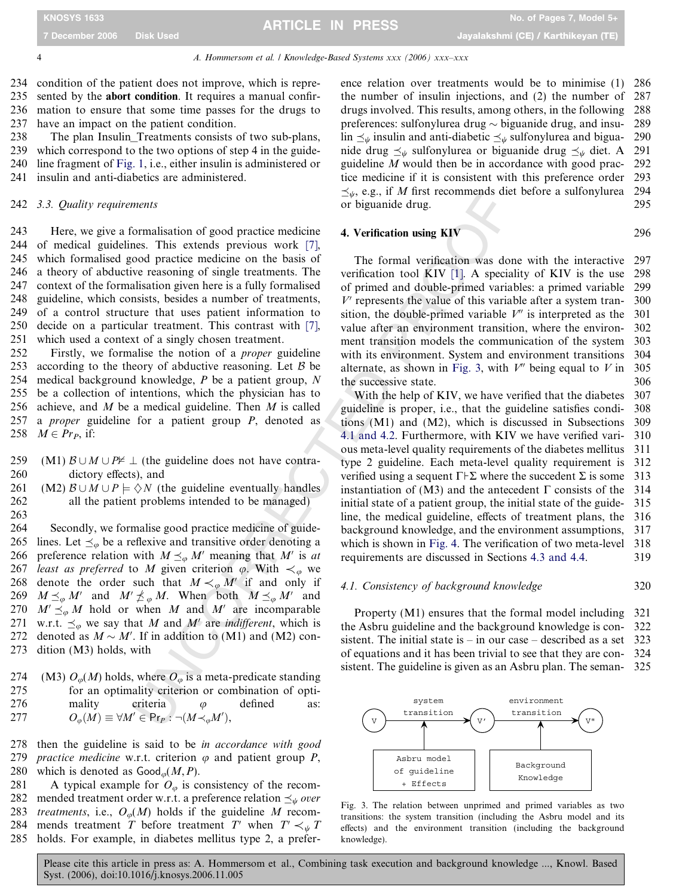<span id="page-3-0"></span>

234 condition of the patient does not improve, which is repre-235 sented by the abort condition. It requires a manual confir-236 mation to ensure that some time passes for the drugs to 237 have an impact on the patient condition.

238 The plan Insulin Treatments consists of two sub-plans, 239 which correspond to the two options of step 4 in the guide-240 line fragment of [Fig. 1](#page-1-0), i.e., either insulin is administered or 241 insulin and anti-diabetics are administered.

### 242 3.3. Quality requirements

243 Here, we give a formalisation of good practice medicine 244 of medical guidelines. This extends previous work [\[7\]](#page-6-0), 245 which formalised good practice medicine on the basis of 246 a theory of abductive reasoning of single treatments. The 247 context of the formalisation given here is a fully formalised 248 guideline, which consists, besides a number of treatments, 249 of a control structure that uses patient information to 250 decide on a particular treatment. This contrast with [\[7\]](#page-6-0), 251 which used a context of a singly chosen treatment.

252 Firstly, we formalise the notion of a proper guideline 253 according to the theory of abductive reasoning. Let B be 254 medical background knowledge, P be a patient group, N 255 be a collection of intentions, which the physician has to 256 achieve, and  $M$  be a medical guideline. Then  $M$  is called 257 a proper guideline for a patient group P, denoted as 258  $M \in Pr_P$ , if:

259 (M1)  $B \cup M \cup P \neq \perp$  (the guideline does not have contra-<br>260 dictory effects), and dictory effects), and

261 (M2)  $B \cup M \cup P \models \Diamond N$  (the guideline eventually handles 262 all the patient problems intended to be managed)

263

264 Secondly, we formalise good practice medicine of guide-265 lines. Let  $\leq_{\varphi}$  be a reflexive and transitive order denoting a 266 preference relation with  $M \preceq_{\varphi} M'$  meaning that M' is at 267 least as preferred to M given criterion  $\varphi$ . With  $\prec_{\varphi}$  we 268 denote the order such that  $M \prec_{\varphi} M'$  if and only if 269  $M \preceq_{\varphi} M'$  and  $M' \npreceq_{\varphi} M$ . When both  $M \preceq_{\varphi} M'$  and  $M' \preceq M$  hold or when M and M' are incomparable 270  $M' \preceq_{\varphi} M$  hold or when M and M' are incomparable 271 w.r.t.  $\preceq_{\varphi}$  we say that M and M' are *indifferent*, which is 272 denoted as  $M \sim M'$ . If in addition to (M1) and (M2) con-273 dition (M3) holds, with

274 (M3)  $O_{\omega}(M)$  holds, where  $O_{\omega}$  is a meta-predicate standing 275 for an optimality criterion or combination of opti-276 mality criteria  $\varphi$  defined as: 277  $O_{\varphi}(M) \equiv \forall M' \in \mathsf{Pr}_P : \neg(M \prec_{\varphi} M'),$ 

278 then the guideline is said to be in accordance with good 279 *practice medicine* w.r.t. criterion  $\varphi$  and patient group P, 280 which is denoted as  $Good<sub>\omega</sub>(M, P)$ .

281 A typical example for  $O_{\varphi}$  is consistency of the recom-282 mended treatment order w.r.t. a preference relation  $\preceq_{\psi} over$ 283 treatments, i.e.,  $O_{\varphi}(M)$  holds if the guideline M recom-284 mends treatment T before treatment T' when  $T' \prec_{\psi} T$ 285 holds. For example, in diabetes mellitus type 2, a preference relation over treatments would be to minimise (1) 286 the number of insulin injections, and (2) the number of 287 drugs involved. This results, among others, in the following 288 preferences: sulfonylurea drug  $\sim$  biguanide drug, and insu- 289 lin  $\preceq_{\psi}$  insulin and anti-diabetic  $\preceq_{\psi}$  sulfonylurea and bigua- 290 nide drug  $\prec_{\psi}$  sulfonylurea or biguanide drug  $\prec_{\psi}$  diet. A 291 nide drug  $\preceq_{\psi}$  sulfonylurea or biguanide drug  $\preceq_{\psi}$  diet. A 291 guideline *M* would then be in accordance with good prac- 292 guideline  $M$  would then be in accordance with good practice medicine if it is consistent with this preference order 293  $\preceq_{\psi}$ , e.g., if *M* first recommends diet before a sulfonylurea 294 or biguanide drug. or biguanide drug.

**4. Verification using KIV** 296

The formal verification was done with the interactive 297 verification tool KIV [1]. A speciality of KIV is the use 298 of primed and double-primed variables: a primed variable 299  $V'$  represents the value of this variable after a system tran- 300 sition, the double-primed variable  $V''$  is interpreted as the 301 value after an environment transition, where the environ- 302 ment transition models the communication of the system 303 with its environment. System and environment transitions 304 alternate, as shown in Fig. 3, with  $V''$  being equal to V in 305 the successive state. 306

ments<br>  $\frac{1}{2}\phi_t$ , as  $\phi_t$  and its economies as<br>  $\frac{1}{2}\phi_t$ . The  $\phi_t$  and its economies on<br>
correlation of good practice medicine<br>
actives the (7)<br>
cood practice medicine on the basis of<br>
The formal verification was d With the help of KIV, we have verified that the diabetes 307 guideline is proper, i.e., that the guideline satisfies condi- 308 tions (M1) and (M2), which is discussed in Subsections 309 4.1 and 4.2. Furthermore, with KIV we have verified vari- 310 ous meta-level quality requirements of the diabetes mellitus 311 type 2 guideline. Each meta-level quality requirement is 312 verified using a sequent  $\Gamma \vdash \Sigma$  where the succedent  $\Sigma$  is some 313 instantiation of (M3) and the antecedent  $\Gamma$  consists of the 314 initial state of a patient group, the initial state of the guide- 315 line, the medical guideline, effects of treatment plans, the 316 background knowledge, and the environment assumptions, 317 which is shown in [Fig. 4](#page-4-0). The verification of two meta-level 318 requirements are discussed in Sections [4.3 and 4.4.](#page-5-0) 319

# 4.1. Consistency of background knowledge 320

Property (M1) ensures that the formal model including 321 the Asbru guideline and the background knowledge is con- 322 sistent. The initial state is – in our case – described as a set  $323$ of equations and it has been trivial to see that they are con- 324 sistent. The guideline is given as an Asbru plan. The seman- 325



Fig. 3. The relation between unprimed and primed variables as two transitions: the system transition (including the Asbru model and its effects) and the environment transition (including the background knowledge).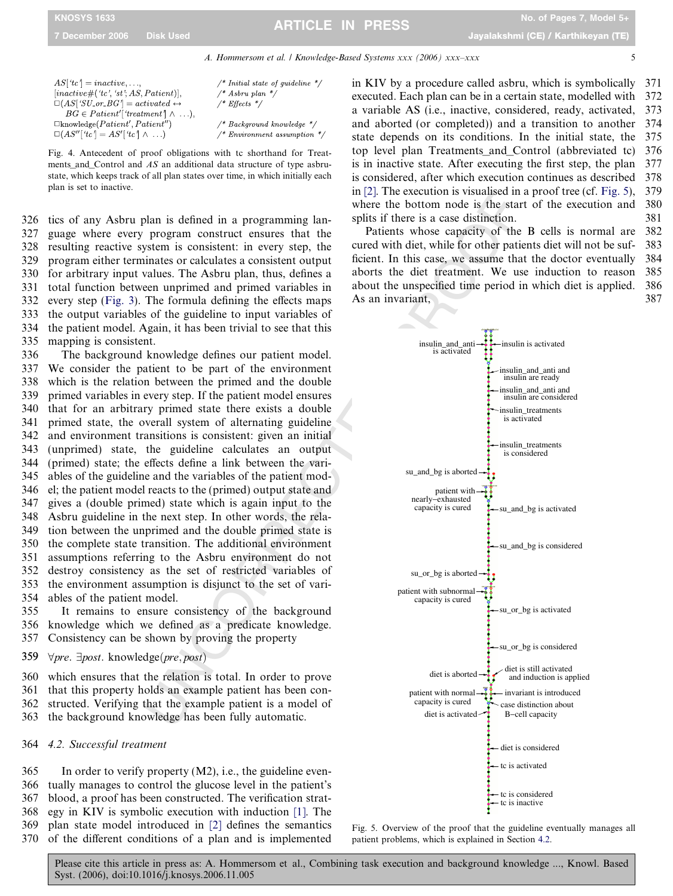ARTICLE IN PRESS

A. Hommersom et al. / Knowledge-Based Systems xxx (2006) xxx–xxx

<span id="page-4-0"></span>

| $AS[$ 'tc'] = inactive,                                      | $\frac{1}{2}$ Initial state of quideline $\frac{1}{2}$ |
|--------------------------------------------------------------|--------------------------------------------------------|
| $[inactive \# ( 'tc', 'st'; AS, Patient ) ],$                | $/*$ Asbru plan */                                     |
| $\Box(AS['SU_{\neg} or \neg BG] = activated \leftrightarrow$ | $/*$ Effects $*/$                                      |
| $BG \in Patient'[treatment] \wedge ),$                       |                                                        |
| $\Box$ knowledge( $Pattern1$ , $Pattern1$ )                  | $\frac{1}{2}$ Background knowledge */                  |
| $\Box(AS''[te] = AS'[te] \wedge \ldots)$                     | $\frac{1}{2}$ Environment assumption $\frac{1}{2}$     |

Fig. 4. Antecedent of proof obligations with tc shorthand for Treatments and Control and  $AS$  an additional data structure of type asbrustate, which keeps track of all plan states over time, in which initially each plan is set to inactive.

326 tics of any Asbru plan is defined in a programming lan-327 guage where every program construct ensures that the 328 resulting reactive system is consistent: in every step, the 329 program either terminates or calculates a consistent output 330 for arbitrary input values. The Asbru plan, thus, defines a 331 total function between unprimed and primed variables in 332 every step ([Fig. 3\)](#page-3-0). The formula defining the effects maps 333 the output variables of the guideline to input variables of 334 the patient model. Again, it has been trivial to see that this 335 mapping is consistent.

336 The background knowledge defines our patient model. 337 We consider the patient to be part of the environment 338 which is the relation between the primed and the double 339 primed variables in every step. If the patient model ensures 340 that for an arbitrary primed state there exists a double 341 primed state, the overall system of alternating guideline 342 and environment transitions is consistent: given an initial 343 (unprimed) state, the guideline calculates an output 344 (primed) state; the effects define a link between the vari-345 ables of the guideline and the variables of the patient mod-346 el; the patient model reacts to the (primed) output state and 347 gives a (double primed) state which is again input to the 348 Asbru guideline in the next step. In other words, the rela-349 tion between the unprimed and the double primed state is 350 the complete state transition. The additional environment 351 assumptions referring to the Asbru environment do not 352 destroy consistency as the set of restricted variables of 353 the environment assumption is disjunct to the set of vari-354 ables of the patient model.

355 It remains to ensure consistency of the background 356 knowledge which we defined as a predicate knowledge. 357 Consistency can be shown by proving the property

359 
$$
\forall pre. \exists post. knowledge (pre, post)
$$

360 which ensures that the relation is total. In order to prove 361 that this property holds an example patient has been con-362 structed. Verifying that the example patient is a model of 363 the background knowledge has been fully automatic.

# 364 4.2. Successful treatment

365 In order to verify property (M2), i.e., the guideline even-366 tually manages to control the glucose level in the patient's 367 blood, a proof has been constructed. The verification strat-368 egy in KIV is symbolic execution with induction [\[1\]](#page-6-0). The 369 plan state model introduced in [\[2\]](#page-6-0) defines the semantics 370 of the different conditions of a plan and is implemented in KIV by a procedure called asbru, which is symbolically 371 executed. Each plan can be in a certain state, modelled with 372 a variable AS (i.e., inactive, considered, ready, activated, 373 and aborted (or completed)) and a transition to another 374 state depends on its conditions. In the initial state, the 375 top level plan Treatments\_and\_Control (abbreviated tc) 376 is in inactive state. After executing the first step, the plan 377 is considered, after which execution continues as described 378 in [\[2\].](#page-6-0) The execution is visualised in a proof tree (cf. Fig. 5), 379 where the bottom node is the start of the execution and 380 splits if there is a case distinction. 381

Patients whose capacity of the B cells is normal are 382 cured with diet, while for other patients diet will not be suf- 383 ficient. In this case, we assume that the doctor eventually 384 aborts the diet treatment. We use induction to reason 385 about the unspecified time period in which diet is applied. 386 As an invariant, 387



Fig. 5. Overview of the proof that the guideline eventually manages all patient problems, which is explained in Section 4.2 .

Please cite this article in press as: A. Hommersom et al., Combining task execution and background knowledge ..., Knowl. Based Syst. (2006), doi:10.1016/j.knosys.2006.11.005

5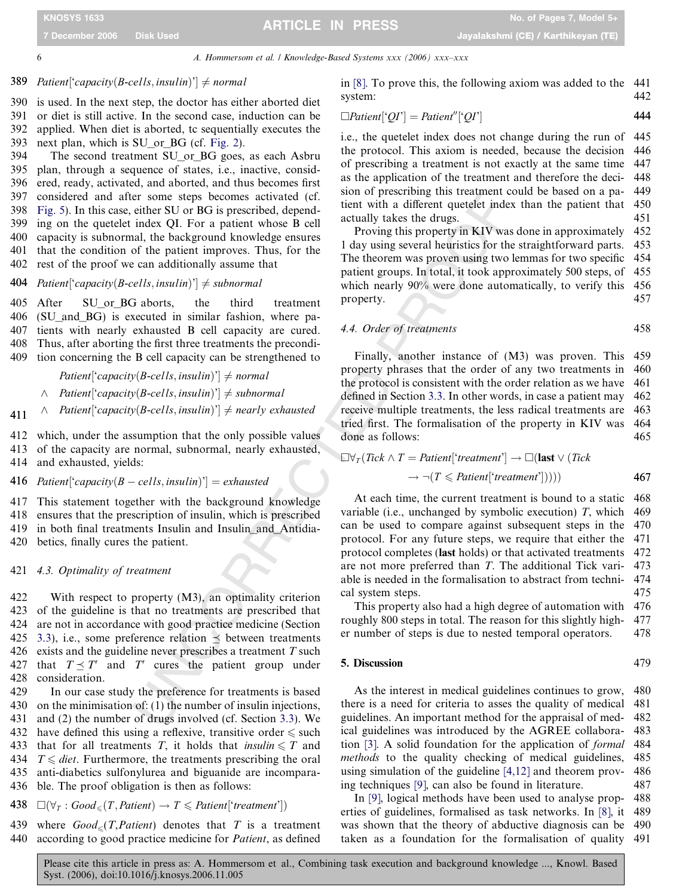<span id="page-5-0"></span>

6 A. Hommersom et al. / Knowledge-Based Systems xxx (2006) xxx–xxx

# 389 Patient $\lbrack$ 'capacity $(B\text{-}cells, insulin)$ ' $\rbrack \neq normal$

390 is used. In the next step, the doctor has either aborted diet 391 or diet is still active. In the second case, induction can be 392 applied. When diet is aborted, tc sequentially executes the 393 next plan, which is SU\_or\_BG (cf. [Fig. 2](#page-2-0)).

394 The second treatment SU\_or\_BG goes, as each Asbru 395 plan, through a sequence of states, i.e., inactive, consid-396 ered, ready, activated, and aborted, and thus becomes first 397 considered and after some steps becomes activated (cf. 398 [Fig. 5](#page-4-0)). In this case, either SU or BG is prescribed, depend-399 ing on the quetelet index QI. For a patient whose B cell 400 capacity is subnormal, the background knowledge ensures 401 that the condition of the patient improves. Thus, for the 402 rest of the proof we can additionally assume that

404 Patient['capacity(B-cells, insulin)'  $\neq$  subnormal

405 After SU\_or\_BG aborts, the third treatment 406 (SU\_and\_BG) is executed in similar fashion, where pa-407 tients with nearly exhausted B cell capacity are cured. 408 Thus, after aborting the first three treatments the precondi-409 tion concerning the B cell capacity can be strengthened to

Patient $\lbrack$ 'capacity $(B\text{-}cells, insulin)$ ' $\rbrack \neq normal$ 

 $\land$  Patient ['capacity(B-cells, insulin)'  $\neq$  subnormal

 $\begin{bmatrix} A & A \end{bmatrix}$  Patient ['capacity(B-cells, insulin)']  $\neq$  nearly exhausted

412 which, under the assumption that the only possible values 413 of the capacity are normal, subnormal, nearly exhausted, 414 and exhausted, yields:

```
416 Patient['capacity(B - cells, insulin)'] = exhausted
```
417 This statement together with the background knowledge 418 ensures that the prescription of insulin, which is prescribed 419 in both final treatments Insulin and Insulin and Antidia-420 betics, finally cures the patient.

# 421 4.3. Optimality of treatment

422 With respect to property (M3), an optimality criterion 423 of the guideline is that no treatments are prescribed that 424 are not in accordance with good practice medicine (Section 425 [3.3](#page-3-0)), i.e., some preference relation  $\preceq$  between treatments 426 exists and the guideline never prescribes a treatment  $T$  such 427 that  $T \preceq T'$  and T' cures the patient group under 428 consideration.

429 In our case study the preference for treatments is based 430 on the minimisation of: (1) the number of insulin injections, 431 and (2) the number of drugs involved (cf. Section 3.3). We 432 have defined this using a reflexive, transitive order  $\leq$  such 433 that for all treatments T, it holds that *insulin*  $\leq T$  and 434  $T \le$  *diet*. Furthermore, the treatments prescribing the oral 435 anti-diabetics sulfonylurea and biguanide are incompara-436 ble. The proof obligation is then as follows:

438  $\Box(\forall_T : Good_{\leq}(T, Patient) \rightarrow T \leq Patient['treatment'])$ 

439 where  $Good_{\leq}(T, Patient)$  denotes that T is a treatment 440 according to good practice medicine for Patient, as defined in [\[8\]](#page-6-0). To prove this, the following axiom was added to the 441 system:  $442$ 

$$
\Box \textit{Patient} [`QI'] = \textit{Patient}'' [`QI'] \tag{444}
$$

i.e., the quetelet index does not change during the run of 445 the protocol. This axiom is needed, because the decision 446 of prescribing a treatment is not exactly at the same time 447 as the application of the treatment and therefore the deci- 448 sion of prescribing this treatment could be based on a pa- 449 tient with a different quetelet index than the patient that 450 actually takes the drugs. 451

Proving this property in KIV was done in approximately 452 1 day using several heuristics for the straightforward parts. 453 The theorem was proven using two lemmas for two specific 454 patient groups. In total, it took approximately 500 steps, of 455 which nearly 90% were done automatically, to verify this 456 property. 457

4.4. Order of treatments 458

Finally, another instance of (M3) was proven. This 459 property phrases that the order of any two treatments in 460 the protocol is consistent with the order relation as we have 461 defined in Section [3.3.](#page-3-0) In other words, in case a patient may 462 receive multiple treatments, the less radical treatments are 463 tried first. The formalisation of the property in KIV was 464 done as follows: 465

$$
\Box \forall_T (Tick \land T = Patient['treatment'] \rightarrow \Box (\text{last} \lor (Tick
$$
  

$$
\rightarrow \neg (T \leq Patient['treatment']))))
$$
 467

er some steps becomes activated (cf. som on pescention) must reaction and all the background knowledge ensures are the perfective method of the perfective of the perfective of the perfective of the perfective of the perfe At each time, the current treatment is bound to a static 468 variable (i.e., unchanged by symbolic execution)  $T$ , which 469 can be used to compare against subsequent steps in the 470 protocol. For any future steps, we require that either the 471 protocol completes (last holds) or that activated treatments 472 are not more preferred than T. The additional Tick vari- 473 able is needed in the formalisation to abstract from techni- 474 cal system steps. 475

This property also had a high degree of automation with 476 roughly 800 steps in total. The reason for this slightly high- 477 er number of steps is due to nested temporal operators. 478

# 5. Discussion 479

As the interest in medical guidelines continues to grow, 480 there is a need for criteria to asses the quality of medical 481 guidelines. An important method for the appraisal of med- 482 ical guidelines was introduced by the AGREE collabora- 483 tion [\[3\]](#page-6-0). A solid foundation for the application of formal 484 methods to the quality checking of medical guidelines, 485 using simulation of the guideline [\[4,12\]](#page-6-0) and theorem prov- 486 ing techniques [\[9\],](#page-6-0) can also be found in literature. 487

In [\[9\],](#page-6-0) logical methods have been used to analyse prop- 488 erties of guidelines, formalised as task networks. In [\[8\]](#page-6-0), it 489 was shown that the theory of abductive diagnosis can be 490 taken as a foundation for the formalisation of quality 491